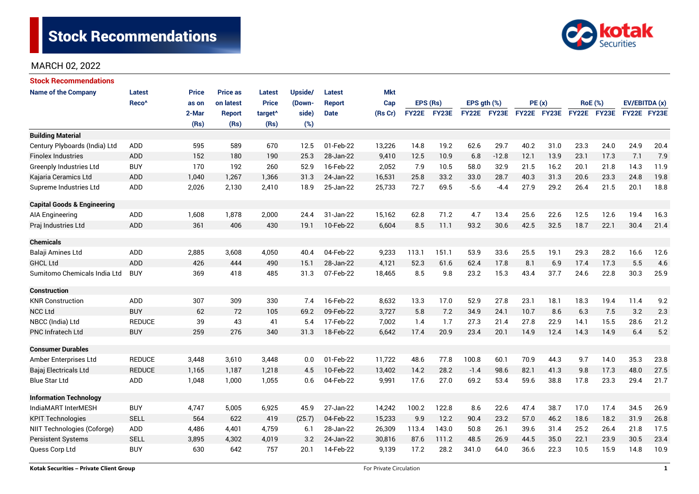

| <b>Stock Recommendations</b>           |                   |              |                 |                     |         |               |            |              |       |                  |         |             |      |                |      |               |      |
|----------------------------------------|-------------------|--------------|-----------------|---------------------|---------|---------------|------------|--------------|-------|------------------|---------|-------------|------|----------------|------|---------------|------|
| <b>Name of the Company</b>             | Latest            | <b>Price</b> | <b>Price as</b> | <b>Latest</b>       | Upside/ | Latest        | <b>Mkt</b> |              |       |                  |         |             |      |                |      |               |      |
|                                        | Reco <sup>^</sup> | as on        | on latest       | <b>Price</b>        | (Down-  | <b>Report</b> | Cap        | EPS (Rs)     |       | EPS $gth$ $(\%)$ |         | PE(x)       |      | <b>RoE</b> (%) |      | EV/EBITDA (x) |      |
|                                        |                   | 2-Mar        | <b>Report</b>   | target <sup>^</sup> | side)   | <b>Date</b>   | (Rs Cr)    | <b>FY22E</b> | FY23E | FY22E FY23E      |         | FY22E FY23E |      | FY22E FY23E    |      | FY22E FY23E   |      |
|                                        |                   | (Rs)         | (Rs)            | (Rs)                | (%)     |               |            |              |       |                  |         |             |      |                |      |               |      |
| <b>Building Material</b>               |                   |              |                 |                     |         |               |            |              |       |                  |         |             |      |                |      |               |      |
| Century Plyboards (India) Ltd          | ADD               | 595          | 589             | 670                 | 12.5    | 01-Feb-22     | 13,226     | 14.8         | 19.2  | 62.6             | 29.7    | 40.2        | 31.0 | 23.3           | 24.0 | 24.9          | 20.4 |
| <b>Finolex Industries</b>              | <b>ADD</b>        | 152          | 180             | 190                 | 25.3    | 28-Jan-22     | 9,410      | 12.5         | 10.9  | 6.8              | $-12.8$ | 12.1        | 13.9 | 23.1           | 17.3 | 7.1           | 7.9  |
| Greenply Industries Ltd                | <b>BUY</b>        | 170          | 192             | 260                 | 52.9    | 16-Feb-22     | 2,052      | 7.9          | 10.5  | 58.0             | 32.9    | 21.5        | 16.2 | 20.1           | 21.8 | 14.3          | 11.9 |
| Kajaria Ceramics Ltd                   | <b>ADD</b>        | 1,040        | 1,267           | 1,366               | 31.3    | 24-Jan-22     | 16,531     | 25.8         | 33.2  | 33.0             | 28.7    | 40.3        | 31.3 | 20.6           | 23.3 | 24.8          | 19.8 |
| Supreme Industries Ltd                 | ADD               | 2,026        | 2,130           | 2,410               | 18.9    | 25-Jan-22     | 25,733     | 72.7         | 69.5  | $-5.6$           | $-4.4$  | 27.9        | 29.2 | 26.4           | 21.5 | 20.1          | 18.8 |
| <b>Capital Goods &amp; Engineering</b> |                   |              |                 |                     |         |               |            |              |       |                  |         |             |      |                |      |               |      |
| AIA Engineering                        | ADD               | 1,608        | 1,878           | 2,000               | 24.4    | 31-Jan-22     | 15,162     | 62.8         | 71.2  | 4.7              | 13.4    | 25.6        | 22.6 | 12.5           | 12.6 | 19.4          | 16.3 |
| Praj Industries Ltd                    | <b>ADD</b>        | 361          | 406             | 430                 | 19.1    | 10-Feb-22     | 6,604      | 8.5          | 11.1  | 93.2             | 30.6    | 42.5        | 32.5 | 18.7           | 22.1 | 30.4          | 21.4 |
| <b>Chemicals</b>                       |                   |              |                 |                     |         |               |            |              |       |                  |         |             |      |                |      |               |      |
| Balaji Amines Ltd                      | <b>ADD</b>        | 2,885        | 3,608           | 4,050               | 40.4    | 04-Feb-22     | 9,233      | 113.1        | 151.1 | 53.9             | 33.6    | 25.5        | 19.1 | 29.3           | 28.2 | 16.6          | 12.6 |
| <b>GHCL Ltd</b>                        | ADD               | 426          | 444             | 490                 | 15.1    | 28-Jan-22     | 4,121      | 52.3         | 61.6  | 62.4             | 17.8    | 8.1         | 6.9  | 17.4           | 17.3 | 5.5           | 4.6  |
| Sumitomo Chemicals India Ltd           | <b>BUY</b>        | 369          | 418             | 485                 | 31.3    | 07-Feb-22     | 18,465     | 8.5          | 9.8   | 23.2             | 15.3    | 43.4        | 37.7 | 24.6           | 22.8 | 30.3          | 25.9 |
| <b>Construction</b>                    |                   |              |                 |                     |         |               |            |              |       |                  |         |             |      |                |      |               |      |
| <b>KNR Construction</b>                | ADD               | 307          | 309             | 330                 | 7.4     | 16-Feb-22     | 8,632      | 13.3         | 17.0  | 52.9             | 27.8    | 23.1        | 18.1 | 18.3           | 19.4 | 11.4          | 9.2  |
| <b>NCC Ltd</b>                         | <b>BUY</b>        | 62           | 72              | 105                 | 69.2    | 09-Feb-22     | 3,727      | 5.8          | 7.2   | 34.9             | 24.1    | 10.7        | 8.6  | 6.3            | 7.5  | 3.2           | 2.3  |
| NBCC (India) Ltd                       | <b>REDUCE</b>     | 39           | 43              | 41                  | 5.4     | 17-Feb-22     | 7,002      | 1.4          | 1.7   | 27.3             | 21.4    | 27.8        | 22.9 | 14.1           | 15.5 | 28.6          | 21.2 |
| <b>PNC Infratech Ltd</b>               | <b>BUY</b>        | 259          | 276             | 340                 | 31.3    | 18-Feb-22     | 6,642      | 17.4         | 20.9  | 23.4             | 20.1    | 14.9        | 12.4 | 14.3           | 14.9 | 6.4           | 5.2  |
| <b>Consumer Durables</b>               |                   |              |                 |                     |         |               |            |              |       |                  |         |             |      |                |      |               |      |
| Amber Enterprises Ltd                  | <b>REDUCE</b>     | 3,448        | 3,610           | 3,448               | 0.0     | 01-Feb-22     | 11,722     | 48.6         | 77.8  | 100.8            | 60.1    | 70.9        | 44.3 | 9.7            | 14.0 | 35.3          | 23.8 |
| Bajaj Electricals Ltd                  | <b>REDUCE</b>     | 1,165        | 1,187           | 1,218               | 4.5     | 10-Feb-22     | 13,402     | 14.2         | 28.2  | $-1.4$           | 98.6    | 82.1        | 41.3 | 9.8            | 17.3 | 48.0          | 27.5 |
| Blue Star Ltd                          | <b>ADD</b>        | 1,048        | 1,000           | 1,055               | 0.6     | 04-Feb-22     | 9,991      | 17.6         | 27.0  | 69.2             | 53.4    | 59.6        | 38.8 | 17.8           | 23.3 | 29.4          | 21.7 |
| <b>Information Technology</b>          |                   |              |                 |                     |         |               |            |              |       |                  |         |             |      |                |      |               |      |
| IndiaMART InterMESH                    | <b>BUY</b>        | 4,747        | 5,005           | 6,925               | 45.9    | 27-Jan-22     | 14,242     | 100.2        | 122.8 | 8.6              | 22.6    | 47.4        | 38.7 | 17.0           | 17.4 | 34.5          | 26.9 |
| <b>KPIT Technologies</b>               | <b>SELL</b>       | 564          | 622             | 419                 | (25.7)  | 04-Feb-22     | 15,233     | 9.9          | 12.2  | 90.4             | 23.2    | 57.0        | 46.2 | 18.6           | 18.2 | 31.9          | 26.8 |
| NIIT Technologies (Coforge)            | ADD               | 4,486        | 4,401           | 4,759               | 6.1     | 28-Jan-22     | 26,309     | 113.4        | 143.0 | 50.8             | 26.1    | 39.6        | 31.4 | 25.2           | 26.4 | 21.8          | 17.5 |
| <b>Persistent Systems</b>              | <b>SELL</b>       | 3,895        | 4,302           | 4,019               | 3.2     | 24-Jan-22     | 30,816     | 87.6         | 111.2 | 48.5             | 26.9    | 44.5        | 35.0 | 22.1           | 23.9 | 30.5          | 23.4 |
| Quess Corp Ltd                         | <b>BUY</b>        | 630          | 642             | 757                 | 20.1    | 14-Feb-22     | 9,139      | 17.2         | 28.2  | 341.0            | 64.0    | 36.6        | 22.3 | 10.5           | 15.9 | 14.8          | 10.9 |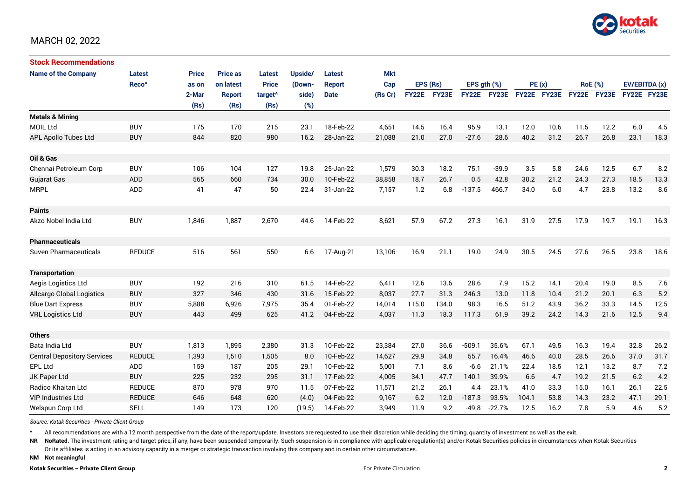

| <b>Stock Recommendations</b>       |                   |              |                 |                     |         |               |            |              |       |                  |             |             |      |                |             |               |      |
|------------------------------------|-------------------|--------------|-----------------|---------------------|---------|---------------|------------|--------------|-------|------------------|-------------|-------------|------|----------------|-------------|---------------|------|
| <b>Name of the Company</b>         | <b>Latest</b>     | <b>Price</b> | <b>Price as</b> | Latest              | Upside/ | <b>Latest</b> | <b>Mkt</b> |              |       |                  |             |             |      |                |             |               |      |
|                                    | Reco <sup>^</sup> | as on        | on latest       | <b>Price</b>        | (Down-  | <b>Report</b> | Cap        | EPS (Rs)     |       | EPS $qth$ $(\%)$ |             | PE(x)       |      | <b>RoE</b> (%) |             | EV/EBITDA (x) |      |
|                                    |                   | 2-Mar        | <b>Report</b>   | target <sup>^</sup> | side)   | <b>Date</b>   | (Rs Cr)    | <b>FY22E</b> | FY23E |                  | FY22E FY23E | FY22E FY23E |      |                | FY22E FY23E | FY22E FY23E   |      |
|                                    |                   | (Rs)         | (Rs)            | (Rs)                | (%)     |               |            |              |       |                  |             |             |      |                |             |               |      |
| <b>Metals &amp; Mining</b>         |                   |              |                 |                     |         |               |            |              |       |                  |             |             |      |                |             |               |      |
| <b>MOIL Ltd</b>                    | <b>BUY</b>        | 175          | 170             | 215                 | 23.1    | 18-Feb-22     | 4,651      | 14.5         | 16.4  | 95.9             | 13.1        | 12.0        | 10.6 | 11.5           | 12.2        | 6.0           | 4.5  |
| APL Apollo Tubes Ltd               | <b>BUY</b>        | 844          | 820             | 980                 | 16.2    | 28-Jan-22     | 21,088     | 21.0         | 27.0  | $-27.6$          | 28.6        | 40.2        | 31.2 | 26.7           | 26.8        | 23.1          | 18.3 |
|                                    |                   |              |                 |                     |         |               |            |              |       |                  |             |             |      |                |             |               |      |
| Oil & Gas                          |                   |              |                 |                     |         |               |            |              |       |                  |             |             |      |                |             |               |      |
| Chennai Petroleum Corp             | <b>BUY</b>        | 106          | 104             | 127                 | 19.8    | 25-Jan-22     | 1,579      | 30.3         | 18.2  | 75.1             | $-39.9$     | 3.5         | 5.8  | 24.6           | 12.5        | 6.7           | 8.2  |
| <b>Gujarat Gas</b>                 | <b>ADD</b>        | 565          | 660             | 734                 | 30.0    | 10-Feb-22     | 38,858     | 18.7         | 26.7  | 0.5              | 42.8        | 30.2        | 21.2 | 24.3           | 27.3        | 18.5          | 13.3 |
| <b>MRPL</b>                        | ADD               | 41           | 47              | 50                  | 22.4    | 31-Jan-22     | 7,157      | 1.2          | 6.8   | $-137.5$         | 466.7       | 34.0        | 6.0  | 4.7            | 23.8        | 13.2          | 8.6  |
|                                    |                   |              |                 |                     |         |               |            |              |       |                  |             |             |      |                |             |               |      |
| <b>Paints</b>                      |                   |              |                 |                     |         |               |            |              |       |                  |             |             |      |                |             |               |      |
| Akzo Nobel India Ltd               | <b>BUY</b>        | 1,846        | 1,887           | 2,670               | 44.6    | 14-Feb-22     | 8,621      | 57.9         | 67.2  | 27.3             | 16.1        | 31.9        | 27.5 | 17.9           | 19.7        | 19.1          | 16.3 |
|                                    |                   |              |                 |                     |         |               |            |              |       |                  |             |             |      |                |             |               |      |
| <b>Pharmaceuticals</b>             |                   |              |                 |                     |         |               |            |              |       |                  |             |             |      |                |             |               |      |
| Suven Pharmaceuticals              | <b>REDUCE</b>     | 516          | 561             | 550                 | 6.6     | 17-Aug-21     | 13,106     | 16.9         | 21.1  | 19.0             | 24.9        | 30.5        | 24.5 | 27.6           | 26.5        | 23.8          | 18.6 |
|                                    |                   |              |                 |                     |         |               |            |              |       |                  |             |             |      |                |             |               |      |
| <b>Transportation</b>              |                   |              |                 |                     |         |               |            |              |       |                  |             |             |      |                |             |               |      |
| Aegis Logistics Ltd                | <b>BUY</b>        | 192          | 216             | 310                 | 61.5    | 14-Feb-22     | 6,411      | 12.6         | 13.6  | 28.6             | 7.9         | 15.2        | 14.1 | 20.4           | 19.0        | 8.5           | 7.6  |
| <b>Allcargo Global Logistics</b>   | <b>BUY</b>        | 327          | 346             | 430                 | 31.6    | 15-Feb-22     | 8,037      | 27.7         | 31.3  | 246.3            | 13.0        | 11.8        | 10.4 | 21.2           | 20.1        | 6.3           | 5.2  |
| <b>Blue Dart Express</b>           | <b>BUY</b>        | 5,888        | 6,926           | 7,975               | 35.4    | 01-Feb-22     | 14,014     | 115.0        | 134.0 | 98.3             | 16.5        | 51.2        | 43.9 | 36.2           | 33.3        | 14.5          | 12.5 |
| <b>VRL Logistics Ltd</b>           | <b>BUY</b>        | 443          | 499             | 625                 | 41.2    | 04-Feb-22     | 4,037      | 11.3         | 18.3  | 117.3            | 61.9        | 39.2        | 24.2 | 14.3           | 21.6        | 12.5          | 9.4  |
|                                    |                   |              |                 |                     |         |               |            |              |       |                  |             |             |      |                |             |               |      |
| <b>Others</b>                      |                   |              |                 |                     |         |               |            |              |       |                  |             |             |      |                |             |               |      |
| Bata India Ltd                     | <b>BUY</b>        | 1,813        | 1,895           | 2,380               | 31.3    | 10-Feb-22     | 23,384     | 27.0         | 36.6  | $-509.1$         | 35.6%       | 67.1        | 49.5 | 16.3           | 19.4        | 32.8          | 26.2 |
| <b>Central Depository Services</b> | <b>REDUCE</b>     | 1,393        | 1,510           | 1,505               | 8.0     | 10-Feb-22     | 14,627     | 29.9         | 34.8  | 55.7             | 16.4%       | 46.6        | 40.0 | 28.5           | 26.6        | 37.0          | 31.7 |
| <b>EPL Ltd</b>                     | ADD               | 159          | 187             | 205                 | 29.1    | 10-Feb-22     | 5,001      | 7.1          | 8.6   | $-6.6$           | 21.1%       | 22.4        | 18.5 | 12.1           | 13.2        | 8.7           | 7.2  |
| JK Paper Ltd                       | <b>BUY</b>        | 225          | 232             | 295                 | 31.1    | 17-Feb-22     | 4,005      | 34.1         | 47.7  | 140.1            | 39.9%       | 6.6         | 4.7  | 19.2           | 21.5        | 6.2           | 4.2  |
| Radico Khaitan Ltd                 | <b>REDUCE</b>     | 870          | 978             | 970                 | 11.5    | 07-Feb-22     | 11,571     | 21.2         | 26.1  | 4.4              | 23.1%       | 41.0        | 33.3 | 15.0           | 16.1        | 26.1          | 22.5 |
| <b>VIP Industries Ltd</b>          | <b>REDUCE</b>     | 646          | 648             | 620                 | (4.0)   | 04-Feb-22     | 9,167      | 6.2          | 12.0  | $-187.3$         | 93.5%       | 104.1       | 53.8 | 14.3           | 23.2        | 47.1          | 29.1 |
| Welspun Corp Ltd                   | <b>SELL</b>       | 149          | 173             | 120                 | (19.5)  | 14-Feb-22     | 3.949      | 11.9         | 9.2   | $-49.8$          | $-22.7%$    | 12.5        | 16.2 | 7.8            | 5.9         | 4.6           | 5.2  |

*Source: Kotak Securities - Private Client Group*

All recommendations are with a 12 month perspective from the date of the report/update. Investors are requested to use their discretion while deciding the timing, quantity of investment as well as the exit.

NR NoRated. The investment rating and target price, if any, have been suspended temporarily. Such suspension is in compliance with applicable regulation(s) and/or Kotak Securities policies in circumstances when Kotak Secur

Or its affiliates is acting in an advisory capacity in a merger or strategic transaction involving this company and in certain other circumstances.

**NM Not meaningful**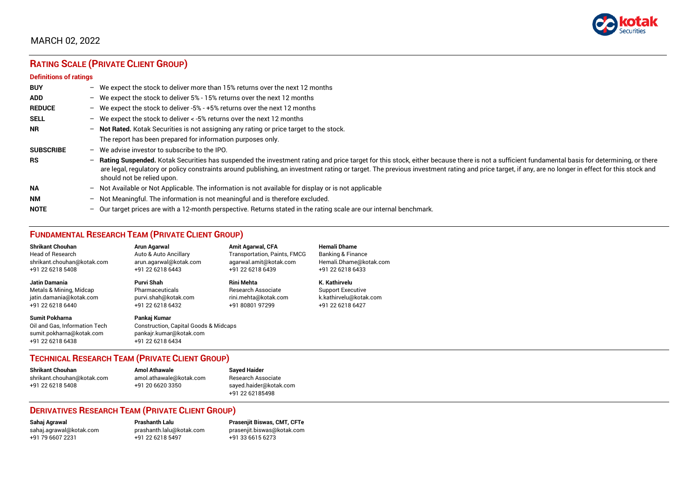

# **RATING SCALE (PRIVATE CLIENT GROUP)**

#### **Definitions of ratings**

| <b>BUY</b>       |   | - We expect the stock to deliver more than 15% returns over the next 12 months                                                                                                                                                                                                                                                                                                                                                     |
|------------------|---|------------------------------------------------------------------------------------------------------------------------------------------------------------------------------------------------------------------------------------------------------------------------------------------------------------------------------------------------------------------------------------------------------------------------------------|
| <b>ADD</b>       |   | - We expect the stock to deliver 5% - 15% returns over the next 12 months                                                                                                                                                                                                                                                                                                                                                          |
| <b>REDUCE</b>    |   | - We expect the stock to deliver -5% - +5% returns over the next 12 months                                                                                                                                                                                                                                                                                                                                                         |
| <b>SELL</b>      |   | - We expect the stock to deliver $\lt$ -5% returns over the next 12 months                                                                                                                                                                                                                                                                                                                                                         |
| <b>NR</b>        |   | - Not Rated. Kotak Securities is not assigning any rating or price target to the stock.                                                                                                                                                                                                                                                                                                                                            |
|                  |   | The report has been prepared for information purposes only.                                                                                                                                                                                                                                                                                                                                                                        |
| <b>SUBSCRIBE</b> |   | $-$ We advise investor to subscribe to the IPO.                                                                                                                                                                                                                                                                                                                                                                                    |
| <b>RS</b>        |   | - Rating Suspended. Kotak Securities has suspended the investment rating and price target for this stock, either because there is not a sufficient fundamental basis for determining, or there<br>are legal, regulatory or policy constraints around publishing, an investment rating or target. The previous investment rating and price target, if any, are no longer in effect for this stock and<br>should not be relied upon. |
| <b>NA</b>        |   | $-$ Not Available or Not Applicable. The information is not available for display or is not applicable                                                                                                                                                                                                                                                                                                                             |
| <b>NM</b>        |   | - Not Meaningful. The information is not meaningful and is therefore excluded.                                                                                                                                                                                                                                                                                                                                                     |
| <b>NOTE</b>      | - | Our target prices are with a 12-month perspective. Returns stated in the rating scale are our internal benchmark.                                                                                                                                                                                                                                                                                                                  |

## **FUNDAMENTAL RESEARCH TEAM (PRIVATE CLIENT GROUP)**

| <b>Shrikant Chouhan</b>                                                                                | Arun Agarwal                                                                                         | <b>Amit Agarwal, CFA</b>            | <b>Hemali Dhame</b>          |
|--------------------------------------------------------------------------------------------------------|------------------------------------------------------------------------------------------------------|-------------------------------------|------------------------------|
| <b>Head of Research</b>                                                                                | Auto & Auto Ancillary                                                                                | <b>Transportation, Paints, FMCG</b> | <b>Banking &amp; Finance</b> |
| shrikant.chouhan@kotak.com                                                                             | arun.agarwal@kotak.com                                                                               | agarwal.amit@kotak.com              | Hemali.Dhame@kotak.com       |
| +91 22 6218 5408                                                                                       | +91 22 6218 6443                                                                                     | +91 22 6218 6439                    | +91 22 6218 6433             |
| <b>Jatin Damania</b>                                                                                   | Purvi Shah                                                                                           | <b>Rini Mehta</b>                   | K. Kathirvelu                |
| Metals & Mining, Midcap                                                                                | Pharmaceuticals                                                                                      | <b>Research Associate</b>           | <b>Support Executive</b>     |
| jatin.damania@kotak.com                                                                                | purvi.shah@kotak.com                                                                                 | rini.mehta@kotak.com                | k.kathirvelu@kotak.com       |
| +91 22 6218 6440                                                                                       | +91 22 6218 6432                                                                                     | +91 80801 97299                     | +91 22 6218 6427             |
| <b>Sumit Pokharna</b><br>Oil and Gas. Information Tech<br>sumit.pokharna@kotak.com<br>+91 22 6218 6438 | Pankai Kumar<br>Construction, Capital Goods & Midcaps<br>pankajr.kumar@kotak.com<br>+91 22 6218 6434 |                                     |                              |

## **TECHNICAL RESEARCH TEAM (PRIVATE CLIENT GROUP)**

| <b>Shrikant Chouhan</b>    | <b>Amol Athawale</b>    |  |
|----------------------------|-------------------------|--|
| shrikant.chouhan@kotak.com | amol.athawale@kotak.com |  |
| +91 22 6218 5408           | +91 20 6620 3350        |  |
|                            |                         |  |

#### **Sayed Haider** Research Associate [sayed.haider@kotak.com](mailto:sayed.haider@kotak.com) +91 22 62185498

## **DERIVATIVES RESEARCH TEAM (PRIVATE CLIENT GROUP)**

+91 22 6218 5497 +91 33 6615 6273

**Sahaj Agrawal Prashanth Lalu Prasenjit Biswas, CMT, CFTe** [sahaj.agrawal@kotak.com](mailto:sahaj.agrawal@kotak.com) [prashanth.lalu@kotak.com](mailto:prashanth.lalu@kotak.com) [prasenjit.biswas@kotak.com](mailto:prasenjit.biswas@kotak.com)